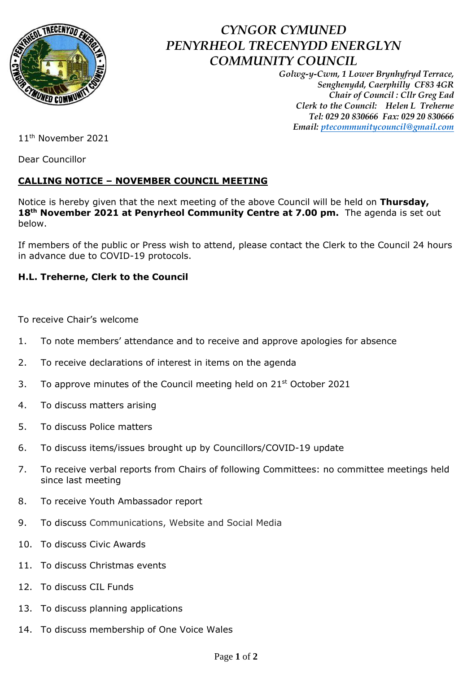

## *CYNGOR CYMUNED PENYRHEOL TRECENYDD ENERGLYN COMMUNITY COUNCIL*

*Golwg-y-Cwm, 1 Lower Brynhyfryd Terrace, Senghenydd, Caerphilly CF83 4GR Chair of Council : Cllr Greg Ead Clerk to the Council: Helen L Treherne Tel: 029 20 830666 Fax: 029 20 830666 Email: [ptecommunitycouncil@gmail.com](mailto:ptecommunitycouncil@gmail.com)*

11th November 2021

Dear Councillor

## **CALLING NOTICE – NOVEMBER COUNCIL MEETING**

Notice is hereby given that the next meeting of the above Council will be held on **Thursday, 18th November 2021 at Penyrheol Community Centre at 7.00 pm.** The agenda is set out below.

If members of the public or Press wish to attend, please contact the Clerk to the Council 24 hours in advance due to COVID-19 protocols.

## **H.L. Treherne, Clerk to the Council**

To receive Chair's welcome

- 1. To note members' attendance and to receive and approve apologies for absence
- 2. To receive declarations of interest in items on the agenda
- 3. To approve minutes of the Council meeting held on  $21<sup>st</sup>$  October 2021
- 4. To discuss matters arising
- 5. To discuss Police matters
- 6. To discuss items/issues brought up by Councillors/COVID-19 update
- 7. To receive verbal reports from Chairs of following Committees: no committee meetings held since last meeting
- 8. To receive Youth Ambassador report
- 9. To discuss Communications, Website and Social Media
- 10. To discuss Civic Awards
- 11. To discuss Christmas events
- 12. To discuss CIL Funds
- 13. To discuss planning applications
- 14. To discuss membership of One Voice Wales